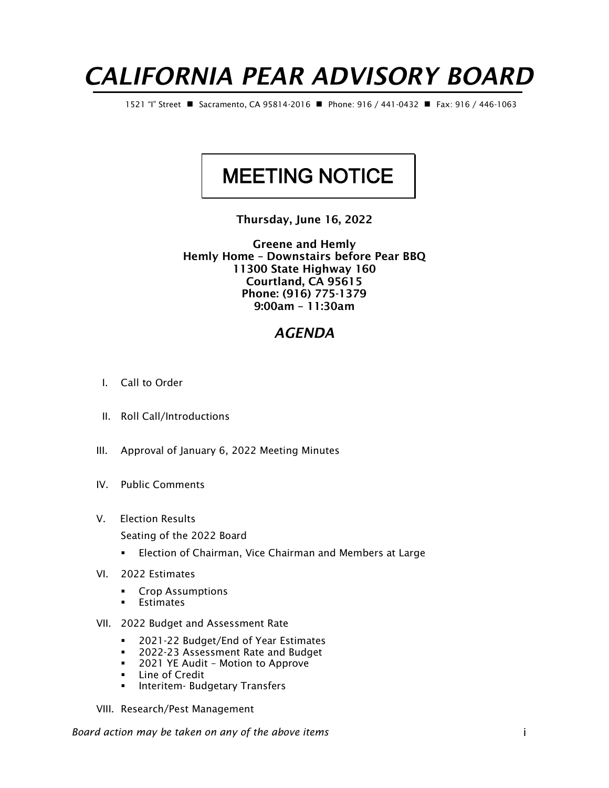## *CALIFORNIA PEAR ADVISORY BOARD*

1521 "I" Street ◼ Sacramento, CA 95814-2016 ◼ Phone: 916 / 441-0432 ◼ Fax: 916 / 446-1063

## MEETING NOTICE

Thursday, June 16, 2022

Greene and Hemly Hemly Home – Downstairs before Pear BBQ 11300 State Highway 160 Courtland, CA 95615 Phone: (916) 775-1379 9:00am – 11:30am

## *AGENDA*

- I. Call to Order
- II. Roll Call/Introductions
- III. Approval of January 6, 2022 Meeting Minutes
- IV. Public Comments
- V. Election Results
	- Seating of the 2022 Board
	- Election of Chairman, Vice Chairman and Members at Large
- VI. 2022 Estimates
	- Crop Assumptions
	- Estimates
- VII. 2022 Budget and Assessment Rate
	- 2021-22 Budget/End of Year Estimates
	- 2022-23 Assessment Rate and Budget
	- 2021 YE Audit Motion to Approve
	- Line of Credit
	- **■** Interitem- Budgetary Transfers
- VIII. Research/Pest Management

*Board action may be taken on any of the above items* i